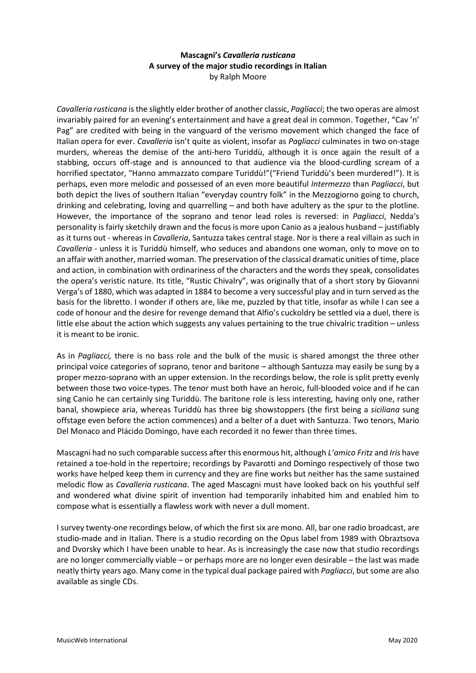## **Mascagni's** *Cavalleria rusticana* **A survey of the major studio recordings in Italian** by Ralph Moore

*Cavalleria rusticana* is the slightly elder brother of another classic, *Pagliacci*; the two operas are almost invariably paired for an evening's entertainment and have a great deal in common. Together, "Cav 'n' Pag" are credited with being in the vanguard of the verismo movement which changed the face of Italian opera for ever. *Cavalleria* isn't quite as violent, insofar as *Pagliacci* culminates in two on-stage murders, whereas the demise of the anti-hero Turiddù, although it is once again the result of a stabbing, occurs off-stage and is announced to that audience via the blood-curdling scream of a horrified spectator, "Hanno ammazzato compare Turiddù!"("Friend Turiddù's been murdered!"). It is perhaps, even more melodic and possessed of an even more beautiful *Intermezzo* than *Pagliacci*, but both depict the lives of southern Italian "everyday country folk" in the Mezzogiorno going to church, drinking and celebrating, loving and quarrelling – and both have adultery as the spur to the plotline. However, the importance of the soprano and tenor lead roles is reversed: in *Pagliacci*, Nedda's personality is fairly sketchily drawn and the focus is more upon Canio as a jealous husband – justifiably as it turns out - whereas in *Cavalleria*, Santuzza takes central stage. Nor is there a real villain as such in *Cavalleria* - unless it is Turiddù himself, who seduces and abandons one woman, only to move on to an affair with another, married woman. The preservation of the classical dramatic unities of time, place and action, in combination with ordinariness of the characters and the words they speak, consolidates the opera's veristic nature. Its title, "Rustic Chivalry", was originally that of a short story by Giovanni Verga's of 1880, which was adapted in 1884 to become a very successful play and in turn served as the basis for the libretto. I wonder if others are, like me, puzzled by that title, insofar as while I can see a code of honour and the desire for revenge demand that Alfio's cuckoldry be settled via a duel, there is little else about the action which suggests any values pertaining to the true chivalric tradition – unless it is meant to be ironic.

As in *Pagliacci,* there is no bass role and the bulk of the music is shared amongst the three other principal voice categories of soprano, tenor and baritone – although Santuzza may easily be sung by a proper mezzo-soprano with an upper extension. In the recordings below, the role is split pretty evenly between those two voice-types. The tenor must both have an heroic, full-blooded voice and if he can sing Canio he can certainly sing Turiddù. The baritone role is less interesting, having only one, rather banal, showpiece aria, whereas Turiddù has three big showstoppers (the first being a *siciliana* sung offstage even before the action commences) and a belter of a duet with Santuzza. Two tenors, Mario Del Monaco and Plácido Domingo, have each recorded it no fewer than three times.

Mascagni had no such comparable success after this enormous hit, although *L'amico Fritz* and *Iris* have retained a toe-hold in the repertoire; recordings by Pavarotti and Domingo respectively of those two works have helped keep them in currency and they are fine works but neither has the same sustained melodic flow as *Cavalleria rusticana*. The aged Mascagni must have looked back on his youthful self and wondered what divine spirit of invention had temporarily inhabited him and enabled him to compose what is essentially a flawless work with never a dull moment.

I survey twenty-one recordings below, of which the first six are mono. All, bar one radio broadcast, are studio-made and in Italian. There is a studio recording on the Opus label from 1989 with Obraztsova and Dvorsky which I have been unable to hear. As is increasingly the case now that studio recordings are no longer commercially viable – or perhaps more are no longer even desirable – the last was made neatly thirty years ago. Many come in the typical dual package paired with *Pagliacci*, but some are also available as single CDs.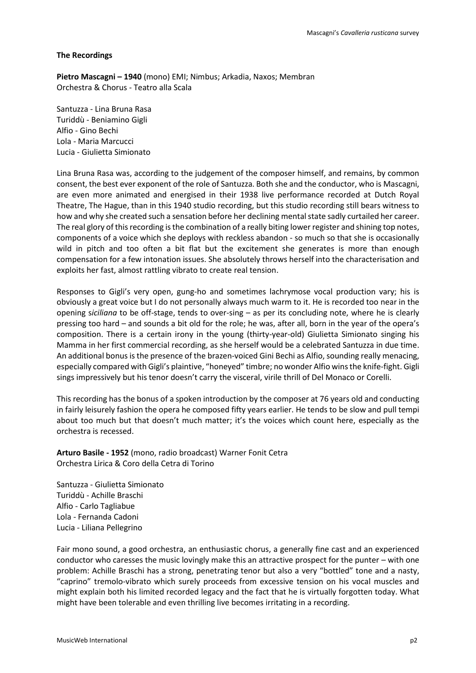## **The Recordings**

**Pietro Mascagni – 1940** (mono) EMI; Nimbus; Arkadia, Naxos; Membran Orchestra & Chorus - Teatro alla Scala

Santuzza - Lina Bruna Rasa Turiddù - Beniamino Gigli Alfio - Gino Bechi Lola - Maria Marcucci Lucia - Giulietta Simionato

Lina Bruna Rasa was, according to the judgement of the composer himself, and remains, by common consent, the best ever exponent of the role of Santuzza. Both she and the conductor, who is Mascagni, are even more animated and energised in their 1938 live performance recorded at Dutch Royal Theatre, The Hague, than in this 1940 studio recording, but this studio recording still bears witness to how and why she created such a sensation before her declining mental state sadly curtailed her career. The real glory of this recording is the combination of a really biting lower register and shining top notes, components of a voice which she deploys with reckless abandon - so much so that she is occasionally wild in pitch and too often a bit flat but the excitement she generates is more than enough compensation for a few intonation issues. She absolutely throws herself into the characterisation and exploits her fast, almost rattling vibrato to create real tension.

Responses to Gigli's very open, gung-ho and sometimes lachrymose vocal production vary; his is obviously a great voice but I do not personally always much warm to it. He is recorded too near in the opening s*iciliana* to be off-stage, tends to over-sing – as per its concluding note, where he is clearly pressing too hard – and sounds a bit old for the role; he was, after all, born in the year of the opera's composition. There is a certain irony in the young (thirty-year-old) Giulietta Simionato singing his Mamma in her first commercial recording, as she herself would be a celebrated Santuzza in due time. An additional bonus is the presence of the brazen-voiced Gini Bechi as Alfio, sounding really menacing, especially compared with Gigli's plaintive, "honeyed" timbre; no wonder Alfio wins the knife-fight. Gigli sings impressively but his tenor doesn't carry the visceral, virile thrill of Del Monaco or Corelli.

This recording has the bonus of a spoken introduction by the composer at 76 years old and conducting in fairly leisurely fashion the opera he composed fifty years earlier. He tends to be slow and pull tempi about too much but that doesn't much matter; it's the voices which count here, especially as the orchestra is recessed.

**Arturo Basile - 1952** (mono, radio broadcast) Warner Fonit Cetra Orchestra Lirica & Coro della Cetra di Torino

Santuzza - Giulietta Simionato Turiddù - Achille Braschi Alfio - Carlo Tagliabue Lola - Fernanda Cadoni Lucia - Liliana Pellegrino

Fair mono sound, a good orchestra, an enthusiastic chorus, a generally fine cast and an experienced conductor who caresses the music lovingly make this an attractive prospect for the punter – with one problem: Achille Braschi has a strong, penetrating tenor but also a very "bottled" tone and a nasty, "caprino" tremolo-vibrato which surely proceeds from excessive tension on his vocal muscles and might explain both his limited recorded legacy and the fact that he is virtually forgotten today. What might have been tolerable and even thrilling live becomes irritating in a recording.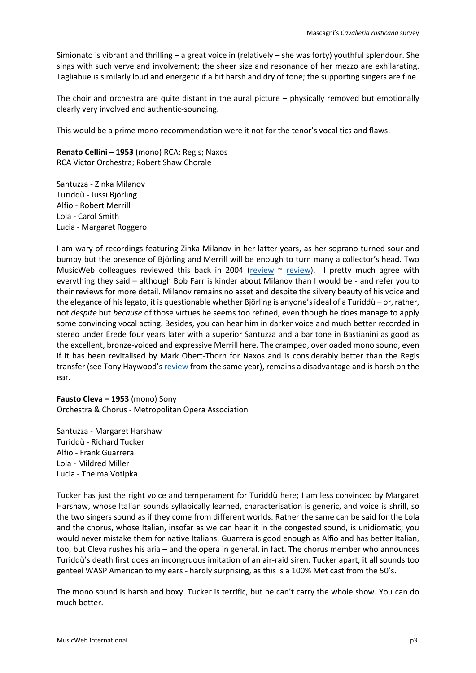Simionato is vibrant and thrilling – a great voice in (relatively – she was forty) youthful splendour. She sings with such verve and involvement; the sheer size and resonance of her mezzo are exhilarating. Tagliabue is similarly loud and energetic if a bit harsh and dry of tone; the supporting singers are fine.

The choir and orchestra are quite distant in the aural picture – physically removed but emotionally clearly very involved and authentic-sounding.

This would be a prime mono recommendation were it not for the tenor's vocal tics and flaws.

**Renato Cellini – 1953** (mono) RCA; Regis; Naxos RCA Victor Orchestra; Robert Shaw Chorale

Santuzza - Zinka Milanov Turiddù - Jussi Björling Alfio - Robert Merrill Lola - Carol Smith Lucia - Margaret Roggero

I am wary of recordings featuring Zinka Milanov in her latter years, as her soprano turned sour and bumpy but the presence of Björling and Merrill will be enough to turn many a collector's head. Two MusicWeb colleagues reviewed this back in 2004 [\(review](http://www.musicweb-international.com/classrev/2004/Oct04/Mascagni1953.htm) ~ [review\)](http://www.musicweb-international.com/classrev/2015/Nov/Mascagni_Cavalleria_88875054492.htm). I pretty much agree with everything they said – although Bob Farr is kinder about Milanov than I would be - and refer you to their reviews for more detail. Milanov remains no asset and despite the silvery beauty of his voice and the elegance of his legato, it is questionable whether Björling is anyone's ideal of a Turiddù – or, rather, not *despite* but *because* of those virtues he seems too refined, even though he does manage to apply some convincing vocal acting. Besides, you can hear him in darker voice and much better recorded in stereo under Erede four years later with a superior Santuzza and a baritone in Bastianini as good as the excellent, bronze-voiced and expressive Merrill here. The cramped, overloaded mono sound, even if it has been revitalised by Mark Obert-Thorn for Naxos and is considerably better than the Regis transfer (see Tony Haywood's [review](http://www.musicweb-international.com/classrev/2004/Mar04/Cavalleria_Regis.htm) from the same year), remains a disadvantage and is harsh on the ear.

**Fausto Cleva – 1953** (mono) Sony Orchestra & Chorus - Metropolitan Opera Association

Santuzza - Margaret Harshaw Turiddù - Richard Tucker Alfio - Frank Guarrera Lola - Mildred Miller Lucia - Thelma Votipka

Tucker has just the right voice and temperament for Turiddù here; I am less convinced by Margaret Harshaw, whose Italian sounds syllabically learned, characterisation is generic, and voice is shrill, so the two singers sound as if they come from different worlds. Rather the same can be said for the Lola and the chorus, whose Italian, insofar as we can hear it in the congested sound, is unidiomatic; you would never mistake them for native Italians. Guarrera is good enough as Alfio and has better Italian, too, but Cleva rushes his aria – and the opera in general, in fact. The chorus member who announces Turiddù's death first does an incongruous imitation of an air-raid siren. Tucker apart, it all sounds too genteel WASP American to my ears - hardly surprising, as this is a 100% Met cast from the 50's.

The mono sound is harsh and boxy. Tucker is terrific, but he can't carry the whole show. You can do much better.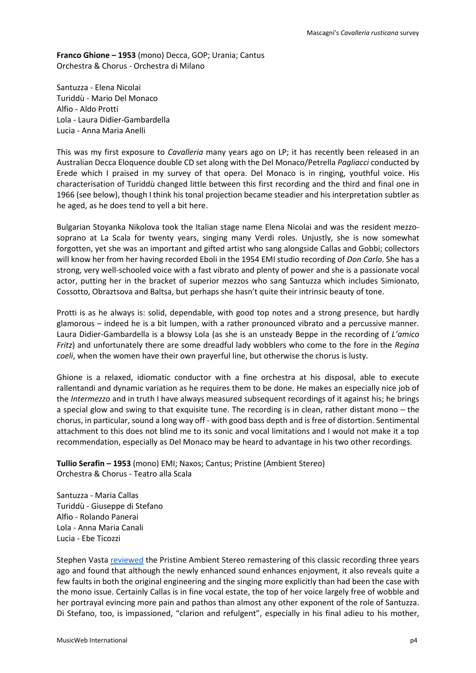**Franco Ghione – 1953** (mono) Decca, GOP; Urania; Cantus Orchestra & Chorus - Orchestra di Milano

Santuzza - Elena Nicolai Turiddù - Mario Del Monaco Alfio - Aldo Protti Lola - Laura Didier-Gambardella Lucia - Anna Maria Anelli

This was my first exposure to *Cavalleria* many years ago on LP; it has recently been released in an Australian Decca Eloquence double CD set along with the Del Monaco/Petrella *Pagliacci* conducted by Erede which I praised in my survey of that opera. Del Monaco is in ringing, youthful voice. His characterisation of Turiddù changed little between this first recording and the third and final one in 1966 (see below), though I think his tonal projection became steadier and his interpretation subtler as he aged, as he does tend to yell a bit here.

Bulgarian Stoyanka Nikolova took the Italian stage name Elena Nicolai and was the resident mezzosoprano at La Scala for twenty years, singing many Verdi roles. Unjustly, she is now somewhat forgotten, yet she was an important and gifted artist who sang alongside Callas and Gobbi; collectors will know her from her having recorded Eboli in the 1954 EMI studio recording of *Don Carlo*. She has a strong, very well-schooled voice with a fast vibrato and plenty of power and she is a passionate vocal actor, putting her in the bracket of superior mezzos who sang Santuzza which includes Simionato, Cossotto, Obraztsova and Baltsa, but perhaps she hasn't quite their intrinsic beauty of tone.

Protti is as he always is: solid, dependable, with good top notes and a strong presence, but hardly glamorous – indeed he is a bit lumpen, with a rather pronounced vibrato and a percussive manner. Laura Didier-Gambardella is a blowsy Lola (as she is an unsteady Beppe in the recording of *L'amico Fritz*) and unfortunately there are some dreadful lady wobblers who come to the fore in the *Regina coeli*, when the women have their own prayerful line, but otherwise the chorus is lusty.

Ghione is a relaxed, idiomatic conductor with a fine orchestra at his disposal, able to execute rallentandi and dynamic variation as he requires them to be done. He makes an especially nice job of the *Intermezzo* and in truth I have always measured subsequent recordings of it against his; he brings a special glow and swing to that exquisite tune. The recording is in clean, rather distant mono – the chorus, in particular, sound a long way off - with good bass depth and is free of distortion. Sentimental attachment to this does not blind me to its sonic and vocal limitations and I would not make it a top recommendation, especially as Del Monaco may be heard to advantage in his two other recordings.

**Tullio Serafin – 1953** (mono) EMI; Naxos; Cantus; Pristine (Ambient Stereo) Orchestra & Chorus - Teatro alla Scala

Santuzza - Maria Callas Turiddù - Giuseppe di Stefano Alfio - Rolando Panerai Lola - Anna Maria Canali Lucia - Ebe Ticozzi

Stephen Vasta [reviewed](http://www.musicweb-international.com/classrev/2017/Aug/Mascagni_Cavalleria_PACO088.htm) the Pristine Ambient Stereo remastering of this classic recording three years ago and found that although the newly enhanced sound enhances enjoyment, it also reveals quite a few faults in both the original engineering and the singing more explicitly than had been the case with the mono issue. Certainly Callas is in fine vocal estate, the top of her voice largely free of wobble and her portrayal evincing more pain and pathos than almost any other exponent of the role of Santuzza. Di Stefano, too, is impassioned, "clarion and refulgent", especially in his final adieu to his mother,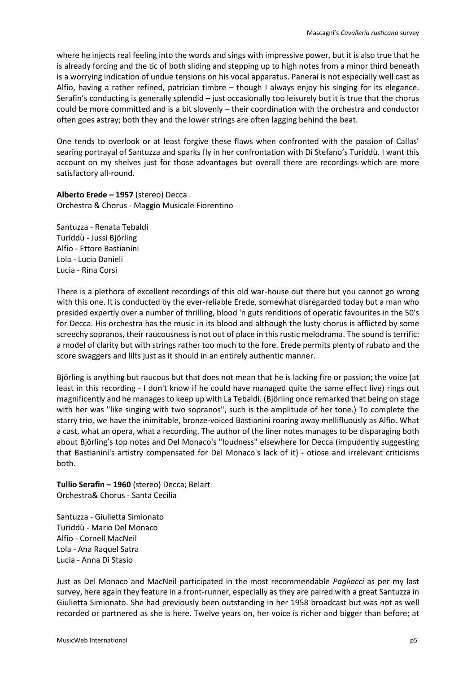where he injects real feeling into the words and sings with impressive power, but it is also true that he is already forcing and the tic of both sliding and stepping up to high notes from a minor third beneath is a worrying indication of undue tensions on his vocal apparatus. Panerai is not especially well cast as Alfio, having a rather refined, patrician timbre – though I always enjoy his singing for its elegance. Serafin's conducting is generally splendid – just occasionally too leisurely but it is true that the chorus could be more committed and is a bit slovenly – their coordination with the orchestra and conductor often goes astray; both they and the lower strings are often lagging behind the beat.

One tends to overlook or at least forgive these flaws when confronted with the passion of Callas' searing portrayal of Santuzza and sparks fly in her confrontation with Di Stefano's Turiddù. I want this account on my shelves just for those advantages but overall there are recordings which are more satisfactory all-round.

**Alberto Erede – 1957** (stereo) Decca Orchestra & Chorus - Maggio Musicale Fiorentino

Santuzza - Renata Tebaldi Turiddù - Jussi Björling Alfio - Ettore Bastianini Lola - Lucia Danieli Lucia - Rina Corsi

There is a plethora of excellent recordings of this old war-house out there but you cannot go wrong with this one. It is conducted by the ever-reliable Erede, somewhat disregarded today but a man who presided expertly over a number of thrilling, blood 'n guts renditions of operatic favourites in the 50's for Decca. His orchestra has the music in its blood and although the lusty chorus is afflicted by some screechy sopranos, their raucousness is not out of place in this rustic melodrama. The sound is terrific: a model of clarity but with strings rather too much to the fore. Erede permits plenty of rubato and the score swaggers and lilts just as it should in an entirely authentic manner.

Björling is anything but raucous but that does not mean that he is lacking fire or passion; the voice (at least in this recording - I don't know if he could have managed quite the same effect live) rings out magnificently and he manages to keep up with La Tebaldi. (Björling once remarked that being on stage with her was "like singing with two sopranos", such is the amplitude of her tone.) To complete the starry trio, we have the inimitable, bronze-voiced Bastianini roaring away mellifluously as Alfio. What a cast, what an opera, what a recording. The author of the liner notes manages to be disparaging both about Björling's top notes and Del Monaco's "loudness" elsewhere for Decca (impudently suggesting that Bastianini's artistry compensated for Del Monaco's lack of it) - otiose and irrelevant criticisms both.

**Tullio Serafin – 1960** (stereo) Decca; Belart Orchestra& Chorus - Santa Cecilia

Santuzza - Giulietta Simionato Turiddù - Mario Del Monaco Alfio - Cornell MacNeil Lola - Ana Raquel Satra Lucia - Anna Di Stasio

Just as Del Monaco and MacNeil participated in the most recommendable *Pagliacci* as per my last survey, here again they feature in a front-runner, especially as they are paired with a great Santuzza in Giulietta Simionato. She had previously been outstanding in her 1958 broadcast but was not as well recorded or partnered as she is here. Twelve years on, her voice is richer and bigger than before; at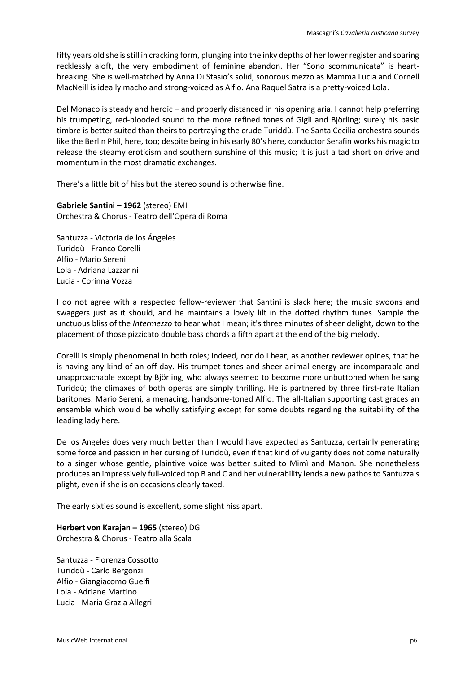fifty years old she is still in cracking form, plunging into the inky depths of her lower register and soaring recklessly aloft, the very embodiment of feminine abandon. Her "Sono scommunicata" is heartbreaking. She is well-matched by Anna Di Stasio's solid, sonorous mezzo as Mamma Lucia and Cornell MacNeill is ideally macho and strong-voiced as Alfio. Ana Raquel Satra is a pretty-voiced Lola.

Del Monaco is steady and heroic – and properly distanced in his opening aria. I cannot help preferring his trumpeting, red-blooded sound to the more refined tones of Gigli and Björling; surely his basic timbre is better suited than theirs to portraying the crude Turiddù. The Santa Cecilia orchestra sounds like the Berlin Phil, here, too; despite being in his early 80's here, conductor Serafin works his magic to release the steamy eroticism and southern sunshine of this music; it is just a tad short on drive and momentum in the most dramatic exchanges.

There's a little bit of hiss but the stereo sound is otherwise fine.

**Gabriele Santini – 1962** (stereo) EMI Orchestra & Chorus - Teatro dell'Opera di Roma

Santuzza - Victoria de los Ángeles Turiddù - Franco Corelli Alfio - Mario Sereni Lola - Adriana Lazzarini Lucia - Corinna Vozza

I do not agree with a respected fellow-reviewer that Santini is slack here; the music swoons and swaggers just as it should, and he maintains a lovely lilt in the dotted rhythm tunes. Sample the unctuous bliss of the *Intermezzo* to hear what I mean; it's three minutes of sheer delight, down to the placement of those pizzicato double bass chords a fifth apart at the end of the big melody.

Corelli is simply phenomenal in both roles; indeed, nor do I hear, as another reviewer opines, that he is having any kind of an off day. His trumpet tones and sheer animal energy are incomparable and unapproachable except by Björling, who always seemed to become more unbuttoned when he sang Turiddù; the climaxes of both operas are simply thrilling. He is partnered by three first-rate Italian baritones: Mario Sereni, a menacing, handsome-toned Alfio. The all-Italian supporting cast graces an ensemble which would be wholly satisfying except for some doubts regarding the suitability of the leading lady here.

De los Angeles does very much better than I would have expected as Santuzza, certainly generating some force and passion in her cursing of Turiddù, even if that kind of vulgarity does not come naturally to a singer whose gentle, plaintive voice was better suited to Mimì and Manon. She nonetheless produces an impressively full-voiced top B and C and her vulnerability lends a new pathos to Santuzza's plight, even if she is on occasions clearly taxed.

The early sixties sound is excellent, some slight hiss apart.

**Herbert von Karajan – 1965** (stereo) DG Orchestra & Chorus - Teatro alla Scala

Santuzza - Fiorenza Cossotto Turiddù - Carlo Bergonzi Alfio - Giangiacomo Guelfi Lola - Adriane Martino Lucia - Maria Grazia Allegri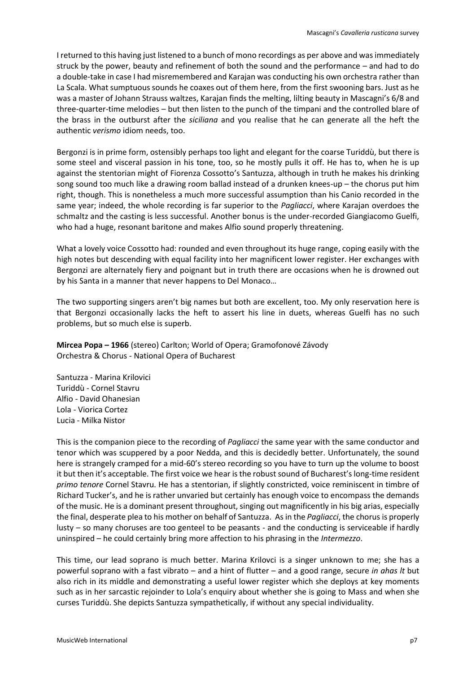I returned to this having just listened to a bunch of mono recordings as per above and was immediately struck by the power, beauty and refinement of both the sound and the performance – and had to do a double-take in case I had misremembered and Karajan was conducting his own orchestra rather than La Scala. What sumptuous sounds he coaxes out of them here, from the first swooning bars. Just as he was a master of Johann Strauss waltzes, Karajan finds the melting, lilting beauty in Mascagni's 6/8 and three-quarter-time melodies – but then listen to the punch of the timpani and the controlled blare of the brass in the outburst after the *siciliana* and you realise that he can generate all the heft the authentic *verismo* idiom needs, too.

Bergonzi is in prime form, ostensibly perhaps too light and elegant for the coarse Turiddù, but there is some steel and visceral passion in his tone, too, so he mostly pulls it off. He has to, when he is up against the stentorian might of Fiorenza Cossotto's Santuzza, although in truth he makes his drinking song sound too much like a drawing room ballad instead of a drunken knees-up – the chorus put him right, though. This is nonetheless a much more successful assumption than his Canio recorded in the same year; indeed, the whole recording is far superior to the *Pagliacci*, where Karajan overdoes the schmaltz and the casting is less successful. Another bonus is the under-recorded Giangiacomo Guelfi, who had a huge, resonant baritone and makes Alfio sound properly threatening.

What a lovely voice Cossotto had: rounded and even throughout its huge range, coping easily with the high notes but descending with equal facility into her magnificent lower register. Her exchanges with Bergonzi are alternately fiery and poignant but in truth there are occasions when he is drowned out by his Santa in a manner that never happens to Del Monaco…

The two supporting singers aren't big names but both are excellent, too. My only reservation here is that Bergonzi occasionally lacks the heft to assert his line in duets, whereas Guelfi has no such problems, but so much else is superb.

**Mircea Popa – 1966** (stereo) Carlton; World of Opera; Gramofonové Závody Orchestra & Chorus - National Opera of Bucharest

Santuzza - Marina Krilovici Turiddù - Cornel Stavru Alfio - David Ohanesian Lola - Viorica Cortez Lucia - Milka Nistor

This is the companion piece to the recording of *Pagliacci* the same year with the same conductor and tenor which was scuppered by a poor Nedda, and this is decidedly better. Unfortunately, the sound here is strangely cramped for a mid-60's stereo recording so you have to turn up the volume to boost it but then it's acceptable. The first voice we hear is the robust sound of Bucharest's long-time resident *primo tenore* Cornel Stavru. He has a stentorian, if slightly constricted, voice reminiscent in timbre of Richard Tucker's, and he israther unvaried but certainly has enough voice to encompass the demands of the music. He is a dominant present throughout, singing out magnificently in his big arias, especially the final, desperate plea to his mother on behalf of Santuzza. As in the *Pagliacci*, the chorus is properly lusty – so many choruses are too genteel to be peasants - and the conducting is serviceable if hardly uninspired – he could certainly bring more affection to his phrasing in the *Intermezzo*.

This time, our lead soprano is much better. Marina Krilovci is a singer unknown to me; she has a powerful soprano with a fast vibrato – and a hint of flutter – and a good range, secure *in ahas lt* but also rich in its middle and demonstrating a useful lower register which she deploys at key moments such as in her sarcastic rejoinder to Lola's enquiry about whether she is going to Mass and when she curses Turiddù. She depicts Santuzza sympathetically, if without any special individuality.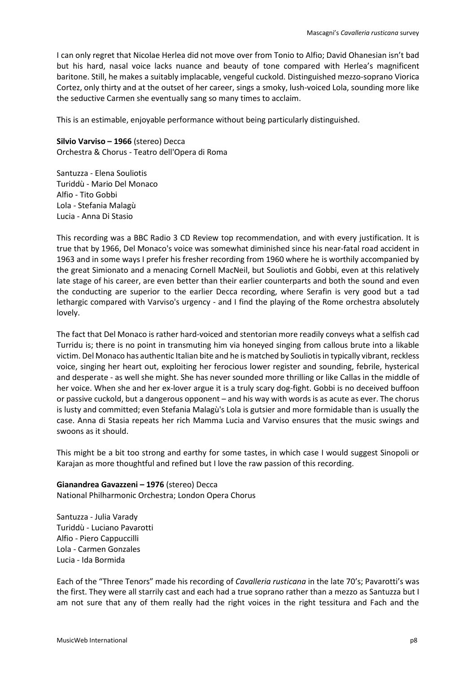I can only regret that Nicolae Herlea did not move over from Tonio to Alfio; David Ohanesian isn't bad but his hard, nasal voice lacks nuance and beauty of tone compared with Herlea's magnificent baritone. Still, he makes a suitably implacable, vengeful cuckold. Distinguished mezzo-soprano Viorica Cortez, only thirty and at the outset of her career, sings a smoky, lush-voiced Lola, sounding more like the seductive Carmen she eventually sang so many times to acclaim.

This is an estimable, enjoyable performance without being particularly distinguished.

**Silvio Varviso – 1966** (stereo) Decca Orchestra & Chorus - Teatro dell'Opera di Roma

Santuzza - Elena Souliotis Turiddù - Mario Del Monaco Alfio - Tito Gobbi Lola - Stefania Malagù Lucia - Anna Di Stasio

This recording was a BBC Radio 3 CD Review top recommendation, and with every justification. It is true that by 1966, Del Monaco's voice was somewhat diminished since his near-fatal road accident in 1963 and in some ways I prefer his fresher recording from 1960 where he is worthily accompanied by the great Simionato and a menacing Cornell MacNeil, but Souliotis and Gobbi, even at this relatively late stage of his career, are even better than their earlier counterparts and both the sound and even the conducting are superior to the earlier Decca recording, where Serafin is very good but a tad lethargic compared with Varviso's urgency - and I find the playing of the Rome orchestra absolutely lovely.

The fact that Del Monaco is rather hard-voiced and stentorian more readily conveys what a selfish cad Turridu is; there is no point in transmuting him via honeyed singing from callous brute into a likable victim. Del Monaco has authentic Italian bite and he is matched by Souliotis in typically vibrant, reckless voice, singing her heart out, exploiting her ferocious lower register and sounding, febrile, hysterical and desperate - as well she might. She has never sounded more thrilling or like Callas in the middle of her voice. When she and her ex-lover argue it is a truly scary dog-fight. Gobbi is no deceived buffoon or passive cuckold, but a dangerous opponent – and his way with words is as acute as ever. The chorus is lusty and committed; even Stefania Malagù's Lola is gutsier and more formidable than is usually the case. Anna di Stasia repeats her rich Mamma Lucia and Varviso ensures that the music swings and swoons as it should.

This might be a bit too strong and earthy for some tastes, in which case I would suggest Sinopoli or Karajan as more thoughtful and refined but I love the raw passion of this recording.

**Gianandrea Gavazzeni – 1976** (stereo) Decca National Philharmonic Orchestra; London Opera Chorus

Santuzza - Julia Varady Turiddù - Luciano Pavarotti Alfio - Piero Cappuccilli Lola - Carmen Gonzales Lucia - Ida Bormida

Each of the "Three Tenors" made his recording of *Cavalleria rusticana* in the late 70's; Pavarotti's was the first. They were all starrily cast and each had a true soprano rather than a mezzo as Santuzza but I am not sure that any of them really had the right voices in the right tessitura and Fach and the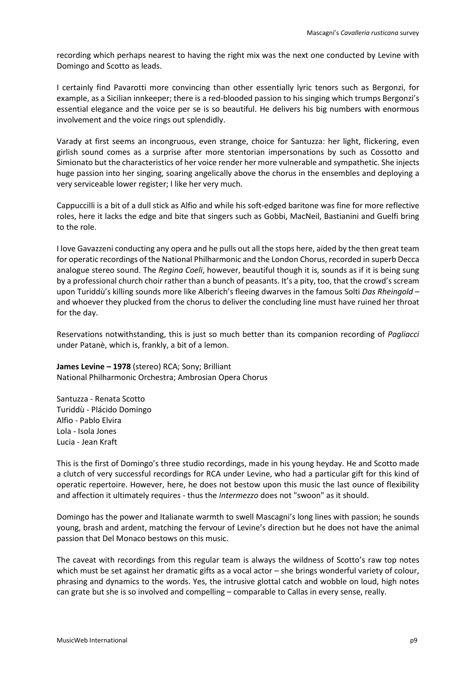recording which perhaps nearest to having the right mix was the next one conducted by Levine with Domingo and Scotto as leads.

I certainly find Pavarotti more convincing than other essentially lyric tenors such as Bergonzi, for example, as a Sicilian innkeeper; there is a red-blooded passion to his singing which trumps Bergonzi's essential elegance and the voice per se is so beautiful. He delivers his big numbers with enormous involvement and the voice rings out splendidly.

Varady at first seems an incongruous, even strange, choice for Santuzza: her light, flickering, even girlish sound comes as a surprise after more stentorian impersonations by such as Cossotto and Simionato but the characteristics of her voice render her more vulnerable and sympathetic. She injects huge passion into her singing, soaring angelically above the chorus in the ensembles and deploying a very serviceable lower register; I like her very much.

Cappuccilli is a bit of a dull stick as Alfio and while his soft-edged baritone was fine for more reflective roles, here it lacks the edge and bite that singers such as Gobbi, MacNeil, Bastianini and Guelfi bring to the role.

I love Gavazzeni conducting any opera and he pulls out all the stops here, aided by the then great team for operatic recordings of the National Philharmonic and the London Chorus, recorded in superb Decca analogue stereo sound. The *Regina Coeli*, however, beautiful though it is, sounds as if it is being sung by a professional church choir rather than a bunch of peasants. It's a pity, too, that the crowd's scream upon Turiddù's killing sounds more like Alberich's fleeing dwarves in the famous Solti *Das Rheingold* – and whoever they plucked from the chorus to deliver the concluding line must have ruined her throat for the day.

Reservations notwithstanding, this is just so much better than its companion recording of *Pagliacci* under Patanè, which is, frankly, a bit of a lemon.

**James Levine – 1978** (stereo) RCA; Sony; Brilliant National Philharmonic Orchestra; Ambrosian Opera Chorus

Santuzza - Renata Scotto Turiddù - Plácido Domingo Alfio - Pablo Elvira Lola - Isola Jones Lucia - Jean Kraft

This is the first of Domingo's three studio recordings, made in his young heyday. He and Scotto made a clutch of very successful recordings for RCA under Levine, who had a particular gift for this kind of operatic repertoire. However, here, he does not bestow upon this music the last ounce of flexibility and affection it ultimately requires - thus the *Intermezzo* does not "swoon" as it should.

Domingo has the power and Italianate warmth to swell Mascagni's long lines with passion; he sounds young, brash and ardent, matching the fervour of Levine's direction but he does not have the animal passion that Del Monaco bestows on this music.

The caveat with recordings from this regular team is always the wildness of Scotto's raw top notes which must be set against her dramatic gifts as a vocal actor – she brings wonderful variety of colour, phrasing and dynamics to the words. Yes, the intrusive glottal catch and wobble on loud, high notes can grate but she is so involved and compelling – comparable to Callas in every sense, really.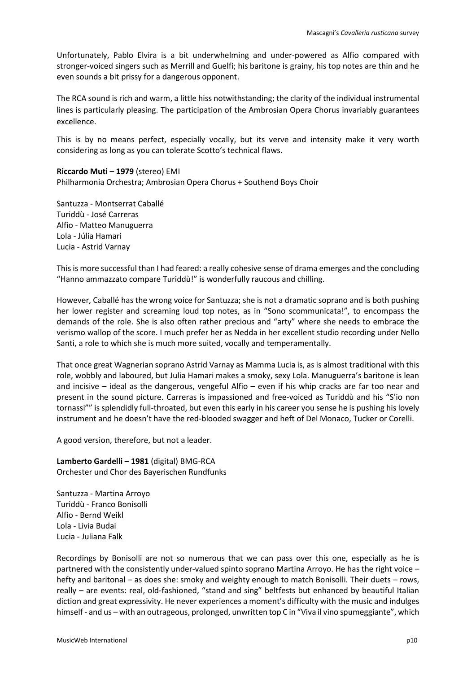Unfortunately, Pablo Elvira is a bit underwhelming and under-powered as Alfio compared with stronger-voiced singers such as Merrill and Guelfi; his baritone is grainy, his top notes are thin and he even sounds a bit prissy for a dangerous opponent.

The RCA sound is rich and warm, a little hiss notwithstanding; the clarity of the individual instrumental lines is particularly pleasing. The participation of the Ambrosian Opera Chorus invariably guarantees excellence.

This is by no means perfect, especially vocally, but its verve and intensity make it very worth considering as long as you can tolerate Scotto's technical flaws.

**Riccardo Muti – 1979** (stereo) EMI Philharmonia Orchestra; Ambrosian Opera Chorus + Southend Boys Choir

Santuzza - Montserrat Caballé Turiddù - José Carreras Alfio - Matteo Manuguerra Lola - Júlia Hamari Lucia - Astrid Varnay

This is more successful than I had feared: a really cohesive sense of drama emerges and the concluding "Hanno ammazzato compare Turiddù!" is wonderfully raucous and chilling.

However, Caballé has the wrong voice for Santuzza; she is not a dramatic soprano and is both pushing her lower register and screaming loud top notes, as in "Sono scommunicata!", to encompass the demands of the role. She is also often rather precious and "arty" where she needs to embrace the verismo wallop of the score. I much prefer her as Nedda in her excellent studio recording under Nello Santi, a role to which she is much more suited, vocally and temperamentally.

That once great Wagnerian soprano Astrid Varnay as Mamma Lucia is, as is almost traditional with this role, wobbly and laboured, but Julia Hamari makes a smoky, sexy Lola. Manuguerra's baritone is lean and incisive – ideal as the dangerous, vengeful Alfio – even if his whip cracks are far too near and present in the sound picture. Carreras is impassioned and free-voiced as Turiddù and his "S'io non tornassi"" is splendidly full-throated, but even this early in his career you sense he is pushing his lovely instrument and he doesn't have the red-blooded swagger and heft of Del Monaco, Tucker or Corelli.

A good version, therefore, but not a leader.

**Lamberto Gardelli – 1981** (digital) BMG-RCA Orchester und Chor des Bayerischen Rundfunks

Santuzza - Martina Arroyo Turiddù - Franco Bonisolli Alfio - Bernd Weikl Lola - Livia Budai Lucia - Juliana Falk

Recordings by Bonisolli are not so numerous that we can pass over this one, especially as he is partnered with the consistently under-valued spinto soprano Martina Arroyo. He has the right voice – hefty and baritonal – as does she: smoky and weighty enough to match Bonisolli. Their duets – rows, really – are events: real, old-fashioned, "stand and sing" beltfests but enhanced by beautiful Italian diction and great expressivity. He never experiences a moment's difficulty with the music and indulges himself - and us – with an outrageous, prolonged, unwritten top C in "Viva il vino spumeggiante", which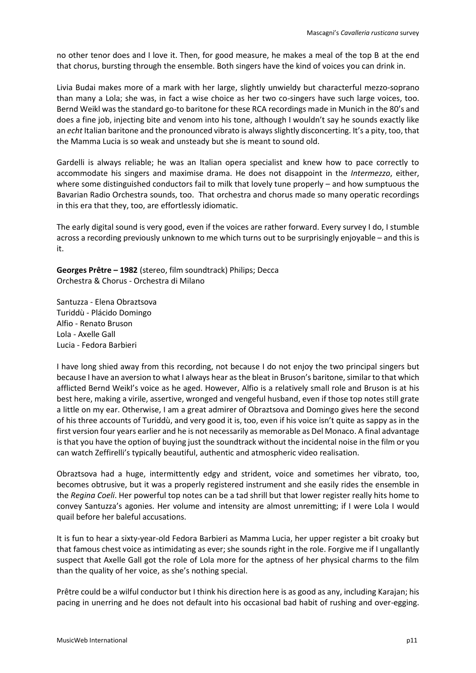no other tenor does and I love it. Then, for good measure, he makes a meal of the top B at the end that chorus, bursting through the ensemble. Both singers have the kind of voices you can drink in.

Livia Budai makes more of a mark with her large, slightly unwieldy but characterful mezzo-soprano than many a Lola; she was, in fact a wise choice as her two co-singers have such large voices, too. Bernd Weikl was the standard go-to baritone for these RCA recordings made in Munich in the 80's and does a fine job, injecting bite and venom into his tone, although I wouldn't say he sounds exactly like an *echt* Italian baritone and the pronounced vibrato is always slightly disconcerting. It's a pity, too, that the Mamma Lucia is so weak and unsteady but she is meant to sound old.

Gardelli is always reliable; he was an Italian opera specialist and knew how to pace correctly to accommodate his singers and maximise drama. He does not disappoint in the *Intermezzo*, either, where some distinguished conductors fail to milk that lovely tune properly – and how sumptuous the Bavarian Radio Orchestra sounds, too. That orchestra and chorus made so many operatic recordings in this era that they, too, are effortlessly idiomatic.

The early digital sound is very good, even if the voices are rather forward. Every survey I do, I stumble across a recording previously unknown to me which turns out to be surprisingly enjoyable – and this is it.

**Georges Prêtre – 1982** (stereo, film soundtrack) Philips; Decca Orchestra & Chorus - Orchestra di Milano

Santuzza - Elena Obraztsova Turiddù - Plácido Domingo Alfio - Renato Bruson Lola - Axelle Gall Lucia - Fedora Barbieri

I have long shied away from this recording, not because I do not enjoy the two principal singers but because I have an aversion to what I always hear as the bleat in Bruson's baritone, similar to that which afflicted Bernd Weikl's voice as he aged. However, Alfio is a relatively small role and Bruson is at his best here, making a virile, assertive, wronged and vengeful husband, even if those top notes still grate a little on my ear. Otherwise, I am a great admirer of Obraztsova and Domingo gives here the second of his three accounts of Turiddù, and very good it is, too, even if his voice isn't quite as sappy as in the first version four years earlier and he is not necessarily as memorable as Del Monaco. A final advantage is that you have the option of buying just the soundtrack without the incidental noise in the film or you can watch Zeffirelli's typically beautiful, authentic and atmospheric video realisation.

Obraztsova had a huge, intermittently edgy and strident, voice and sometimes her vibrato, too, becomes obtrusive, but it was a properly registered instrument and she easily rides the ensemble in the *Regina Coeli*. Her powerful top notes can be a tad shrill but that lower register really hits home to convey Santuzza's agonies. Her volume and intensity are almost unremitting; if I were Lola I would quail before her baleful accusations.

It is fun to hear a sixty-year-old Fedora Barbieri as Mamma Lucia, her upper register a bit croaky but that famous chest voice as intimidating as ever; she sounds right in the role. Forgive me if I ungallantly suspect that Axelle Gall got the role of Lola more for the aptness of her physical charms to the film than the quality of her voice, as she's nothing special.

Prêtre could be a wilful conductor but I think his direction here is as good as any, including Karajan; his pacing in unerring and he does not default into his occasional bad habit of rushing and over-egging.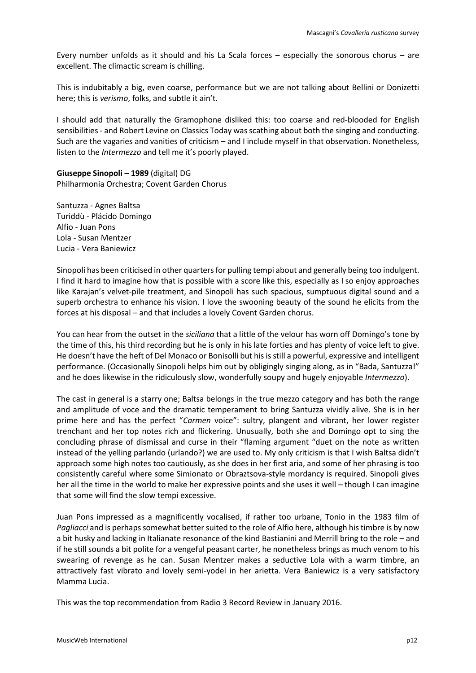Every number unfolds as it should and his La Scala forces – especially the sonorous chorus – are excellent. The climactic scream is chilling.

This is indubitably a big, even coarse, performance but we are not talking about Bellini or Donizetti here; this is *verismo*, folks, and subtle it ain't.

I should add that naturally the Gramophone disliked this: too coarse and red-blooded for English sensibilities - and Robert Levine on Classics Today was scathing about both the singing and conducting. Such are the vagaries and vanities of criticism – and I include myself in that observation. Nonetheless, listen to the *Intermezzo* and tell me it's poorly played.

**Giuseppe Sinopoli – 1989** (digital) DG Philharmonia Orchestra; Covent Garden Chorus

Santuzza - Agnes Baltsa Turiddù - Plácido Domingo Alfio - Juan Pons Lola - Susan Mentzer Lucia - Vera Baniewicz

Sinopoli has been criticised in other quarters for pulling tempi about and generally being too indulgent. I find it hard to imagine how that is possible with a score like this, especially as I so enjoy approaches like Karajan's velvet-pile treatment, and Sinopoli has such spacious, sumptuous digital sound and a superb orchestra to enhance his vision. I love the swooning beauty of the sound he elicits from the forces at his disposal – and that includes a lovely Covent Garden chorus.

You can hear from the outset in the *siciliana* that a little of the velour has worn off Domingo's tone by the time of this, his third recording but he is only in his late forties and has plenty of voice left to give. He doesn't have the heft of Del Monaco or Bonisolli but his is still a powerful, expressive and intelligent performance. (Occasionally Sinopoli helps him out by obligingly singing along, as in "Bada, Santuzza!" and he does likewise in the ridiculously slow, wonderfully soupy and hugely enjoyable *Intermezzo*).

The cast in general is a starry one; Baltsa belongs in the true mezzo category and has both the range and amplitude of voce and the dramatic temperament to bring Santuzza vividly alive. She is in her prime here and has the perfect "*Carmen* voice": sultry, plangent and vibrant, her lower register trenchant and her top notes rich and flickering. Unusually, both she and Domingo opt to sing the concluding phrase of dismissal and curse in their "flaming argument "duet on the note as written instead of the yelling parlando (urlando?) we are used to. My only criticism is that I wish Baltsa didn't approach some high notes too cautiously, as she does in her first aria, and some of her phrasing is too consistently careful where some Simionato or Obraztsova-style mordancy is required. Sinopoli gives her all the time in the world to make her expressive points and she uses it well – though I can imagine that some will find the slow tempi excessive.

Juan Pons impressed as a magnificently vocalised, if rather too urbane, Tonio in the 1983 film of *Pagliacci* and is perhaps somewhat better suited to the role of Alfio here, although his timbre is by now a bit husky and lacking in Italianate resonance of the kind Bastianini and Merrill bring to the role – and if he still sounds a bit polite for a vengeful peasant carter, he nonetheless brings as much venom to his swearing of revenge as he can. Susan Mentzer makes a seductive Lola with a warm timbre, an attractively fast vibrato and lovely semi-yodel in her arietta. Vera Baniewicz is a very satisfactory Mamma Lucia.

This was the top recommendation from Radio 3 Record Review in January 2016.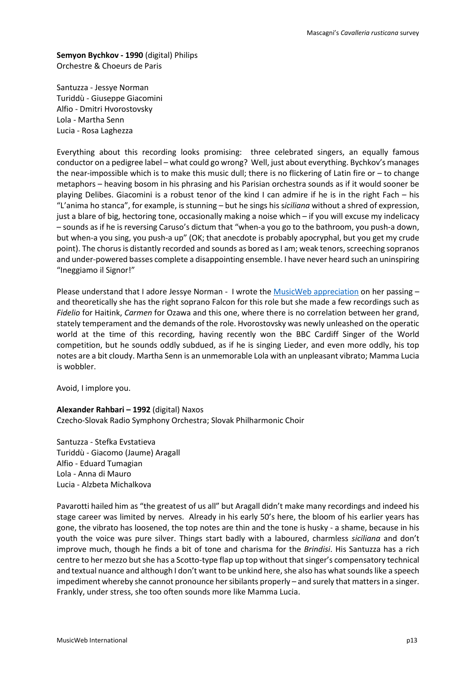**Semyon Bychkov - 1990** (digital) Philips Orchestre & Choeurs de Paris

Santuzza - Jessye Norman Turiddù - Giuseppe Giacomini Alfio - Dmitri Hvorostovsky Lola - Martha Senn Lucia - Rosa Laghezza

Everything about this recording looks promising: three celebrated singers, an equally famous conductor on a pedigree label – what could go wrong? Well, just about everything. Bychkov's manages the near-impossible which is to make this music dull; there is no flickering of Latin fire or – to change metaphors – heaving bosom in his phrasing and his Parisian orchestra sounds as if it would sooner be playing Delibes. Giacomini is a robust tenor of the kind I can admire if he is in the right Fach – his "L'anima ho stanca", for example, is stunning – but he sings his s*iciliana* without a shred of expression, just a blare of big, hectoring tone, occasionally making a noise which – if you will excuse my indelicacy – sounds as if he is reversing Caruso's dictum that "when-a you go to the bathroom, you push-a down, but when-a you sing, you push-a up" (OK; that anecdote is probably apocryphal, but you get my crude point). The chorus is distantly recorded and sounds as bored as I am; weak tenors, screeching sopranos and under-powered basses complete a disappointing ensemble. I have never heard such an uninspiring "Ineggiamo il Signor!"

Please understand that I adore Jessye Norman - I wrote the [MusicWeb appreciation](http://www.musicweb-international.com/classrev/2019/Oct/Norman_obit.htm) on her passing – and theoretically she has the right soprano Falcon for this role but she made a few recordings such as *Fidelio* for Haitink, *Carmen* for Ozawa and this one, where there is no correlation between her grand, stately temperament and the demands of the role. Hvorostovsky was newly unleashed on the operatic world at the time of this recording, having recently won the BBC Cardiff Singer of the World competition, but he sounds oddly subdued, as if he is singing Lieder, and even more oddly, his top notes are a bit cloudy. Martha Senn is an unmemorable Lola with an unpleasant vibrato; Mamma Lucia is wobbler.

Avoid, I implore you.

**Alexander Rahbari – 1992** (digital) Naxos Czecho-Slovak Radio Symphony Orchestra; Slovak Philharmonic Choir

Santuzza - Stefka Evstatieva Turiddù - Giacomo (Jaume) Aragall Alfio - Eduard Tumagian Lola - Anna di Mauro Lucia - Alzbeta Michalkova

Pavarotti hailed him as "the greatest of us all" but Aragall didn't make many recordings and indeed his stage career was limited by nerves. Already in his early 50's here, the bloom of his earlier years has gone, the vibrato has loosened, the top notes are thin and the tone is husky - a shame, because in his youth the voice was pure silver. Things start badly with a laboured, charmless *siciliana* and don't improve much, though he finds a bit of tone and charisma for the *Brindisi*. His Santuzza has a rich centre to her mezzo but she has a Scotto-type flap up top without that singer's compensatory technical and textual nuance and although I don't want to be unkind here, she also has what sounds like a speech impediment whereby she cannot pronounce her sibilants properly – and surely that matters in a singer. Frankly, under stress, she too often sounds more like Mamma Lucia.